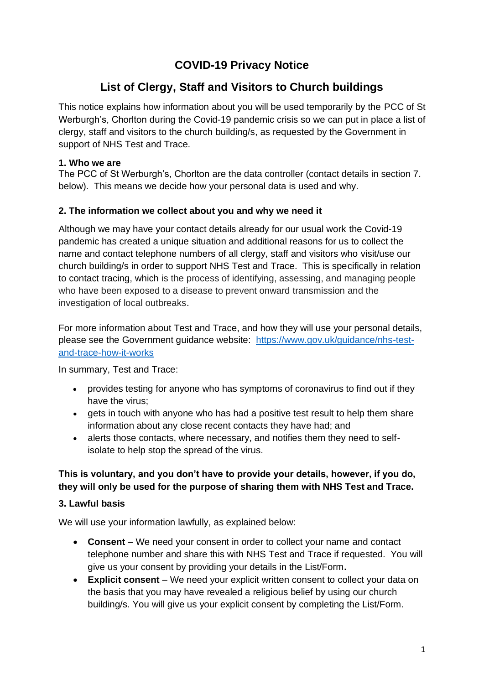# **COVID-19 Privacy Notice**

# **List of Clergy, Staff and Visitors to Church buildings**

This notice explains how information about you will be used temporarily by the PCC of St Werburgh's, Chorlton during the Covid-19 pandemic crisis so we can put in place a list of clergy, staff and visitors to the church building/s, as requested by the Government in support of NHS Test and Trace.

### **1. Who we are**

The PCC of St Werburgh's, Chorlton are the data controller (contact details in section 7. below). This means we decide how your personal data is used and why.

### **2. The information we collect about you and why we need it**

Although we may have your contact details already for our usual work the Covid-19 pandemic has created a unique situation and additional reasons for us to collect the name and contact telephone numbers of all clergy, staff and visitors who visit/use our church building/s in order to support NHS Test and Trace. This is specifically in relation to contact tracing, which is the process of identifying, assessing, and managing people who have been exposed to a disease to prevent onward transmission and the investigation of local outbreaks.

For more information about Test and Trace, and how they will use your personal details, please see the Government guidance website: [https://www.gov.uk/guidance/nhs-test](https://www.gov.uk/guidance/nhs-test-and-trace-how-it-works)[and-trace-how-it-works](https://www.gov.uk/guidance/nhs-test-and-trace-how-it-works)

In summary, Test and Trace:

- provides testing for anyone who has symptoms of coronavirus to find out if they have the virus;
- gets in touch with anyone who has had a positive test result to help them share information about any close recent contacts they have had; and
- alerts those contacts, where necessary, and notifies them they need to selfisolate to help stop the spread of the virus.

### **This is voluntary, and you don't have to provide your details, however, if you do, they will only be used for the purpose of sharing them with NHS Test and Trace.**

### **3. Lawful basis**

We will use your information lawfully, as explained below:

- **Consent**  We need your consent in order to collect your name and contact telephone number and share this with NHS Test and Trace if requested. You will give us your consent by providing your details in the List/Form**.**
- **Explicit consent** We need your explicit written consent to collect your data on the basis that you may have revealed a religious belief by using our church building/s. You will give us your explicit consent by completing the List/Form.